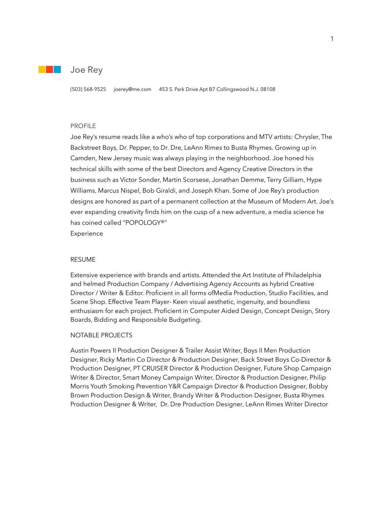

## Joe Rey

(503) 568-9525 joerey@me.com 453 S. Park Drive Apt B7 Collingswood N.J. 08108

#### PROFILE

Joe Rey's resume reads like a who's who of top corporations and MTV artists: Chrysler, The Backstreet Boys, Dr. Pepper, to Dr. Dre, LeAnn Rimes to Busta Rhymes. Growing up in Camden, New Jersey music was always playing in the neighborhood. Joe honed his technical skills with some of the best Directors and Agency Creative Directors in the business such as Victor Sonder, Martin Scorsese, Jonathan Demme, Terry Gilliam, Hype Williams, Marcus Nispel, Bob Giraldi, and Joseph Khan. Some of Joe Rey's production designs are honored as part of a permanent collection at the Museum of Modern Art. Joe's ever expanding creativity finds him on the cusp of a new adventure, a media science he has coined called "POPOLOGY®" Experience

## RESUME

Extensive experience with brands and artists. Attended the Art Institute of Philadelphia and helmed Production Company / Advertising Agency Accounts as hybrid Creative Director / Writer & Editor. Proficient in all forms ofMedia Production, Studio Facilities, and Scene Shop. Effective Team Player- Keen visual aesthetic, ingenuity, and boundless enthusiasm for each project. Proficient in Computer Aided Design, Concept Design, Story Boards, Bidding and Responsible Budgeting.

## NOTABLE PROJECTS

Austin Powers II Production Designer & Trailer Assist Writer, Boys II Men Production Designer, Ricky Martin Co Director & Production Designer, Back Street Boys Co-Director & Production Designer, PT CRUISER Director & Production Designer, Future Shop Campaign Writer & Director, Smart Money Campaign Writer, Director & Production Designer, Philip Morris Youth Smoking Prevention Y&R Campaign Director & Production Designer, Bobby Brown Production Design & Writer, Brandy Writer & Production Designer, Busta Rhymes Production Designer & Writer, Dr. Dre Production Designer, LeAnn Rimes Writer Director